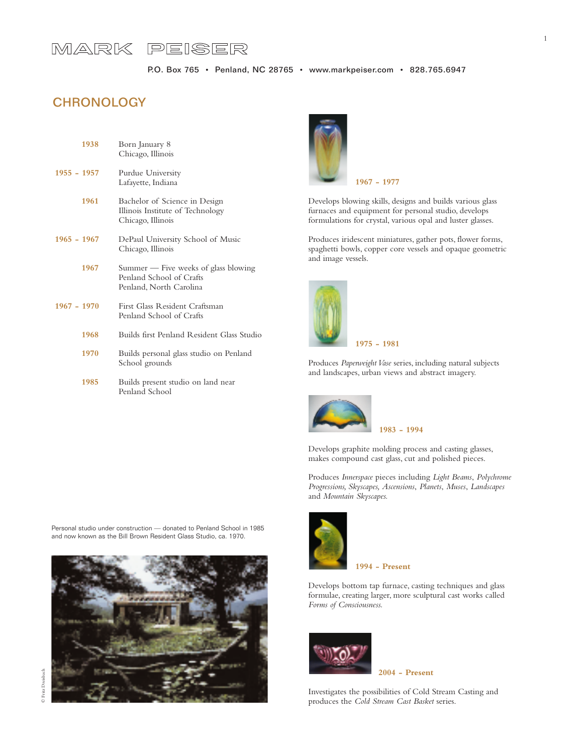# MARK PEISER

# **CHRONOLOGY**

| 1938          | Born January 8<br>Chicago, Illinois                                                         |
|---------------|---------------------------------------------------------------------------------------------|
| $1955 - 1957$ | Purdue University<br>Lafayette, Indiana                                                     |
| 1961          | Bachelor of Science in Design<br>Illinois Institute of Technology<br>Chicago, Illinois      |
| $1965 - 1967$ | DePaul University School of Music<br>Chicago, Illinois                                      |
| 1967          | Summer — Five weeks of glass blowing<br>Penland School of Crafts<br>Penland, North Carolina |
| $1967 - 1970$ | First Glass Resident Craftsman<br>Penland School of Crafts                                  |
| 1968          | Builds first Penland Resident Glass Studio                                                  |
| 1970          | Builds personal glass studio on Penland<br>School grounds                                   |
| 1985          | Builds present studio on land near<br>Penland School                                        |

Personal studio under construction — donated to Penland School in 1985 and now known as the Bill Brown Resident Glass Studio, ca. 1970.





Develops blowing skills, designs and builds various glass furnaces and equipment for personal studio, develops formulations for crystal, various opal and luster glasses.

Produces iridescent miniatures, gather pots, flower forms, spaghetti bowls, copper core vessels and opaque geometric and image vessels.



**1975 - 1981**

Produces *Paperweight Vase* series, including natural subjects and landscapes, urban views and abstract imagery.



**1983 - 1994**

Develops graphite molding process and casting glasses, makes compound cast glass, cut and polished pieces.

Produces *Innerspace* pieces including *Light Beams*, *Polychrome Progressions, Skyscapes, Ascensions*, *Planets*, *Muses*, *Landscapes* and *Mountain Skyscapes.*



Develops bottom tap furnace, casting techniques and glass formulae, creating larger, more sculptural cast works called



*Forms of Consciousness.*

Investigates the possibilities of Cold Stream Casting and produces the *Cold Stream Cast Basket* series.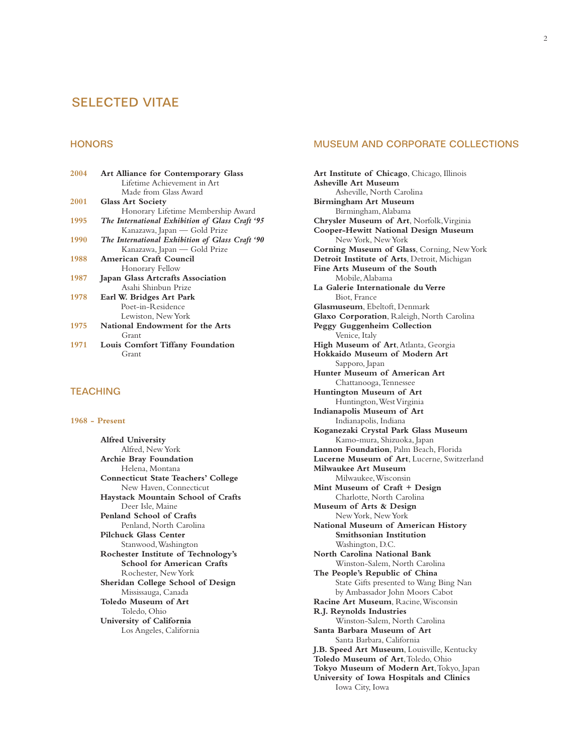# SELECTED VITAE

## **HONORS**

| <b>Art Alliance for Contemporary Glass</b>      |
|-------------------------------------------------|
| Lifetime Achievement in Art                     |
| Made from Glass Award                           |
| <b>Glass Art Society</b>                        |
| Honorary Lifetime Membership Award              |
| The International Exhibition of Glass Craft '95 |
| Kanazawa, Japan — Gold Prize                    |
| The International Exhibition of Glass Craft '90 |
| Kanazawa, Japan — Gold Prize                    |
| <b>American Craft Council</b>                   |
| Honorary Fellow                                 |
| <b>Japan Glass Artcrafts Association</b>        |
| Asahi Shinbun Prize                             |
| Earl W. Bridges Art Park                        |
| Poet-in-Residence                               |
| Lewiston, New York                              |
| National Endowment for the Arts                 |
| Grant                                           |
| Louis Comfort Tiffany Foundation                |
| Grant                                           |
|                                                 |

## **TEACHING**

#### **1968 - Present**

**Alfred University** Alfred, New York **Archie Bray Foundation** Helena, Montana **Connecticut State Teachers' College** New Haven, Connecticut **Haystack Mountain School of Crafts** Deer Isle, Maine **Penland School of Crafts** Penland, North Carolina **Pilchuck Glass Center** Stanwood,Washington **Rochester Institute of Technology's School for American Crafts** Rochester, New York **Sheridan College School of Design** Mississauga, Canada **Toledo Museum of Art** Toledo, Ohio **University of California** Los Angeles, California

## MUSEUM AND CORPORATE COLLECTIONS

**Art Institute of Chicago**, Chicago, Illinois **Asheville Art Museum** Asheville, North Carolina **Birmingham Art Museum** Birmingham,Alabama **Chrysler Museum of Art**, Norfolk,Virginia **Cooper-Hewitt National Design Museum** New York, New York **Corning Museum of Glass**, Corning, New York **Detroit Institute of Arts**, Detroit, Michigan **Fine Arts Museum of the South** Mobile,Alabama **La Galerie Internationale du Verre** Biot, France **Glasmuseum**, Ebeltoft, Denmark **Glaxo Corporation**, Raleigh, North Carolina **Peggy Guggenheim Collection** Venice, Italy **High Museum of Art**, Atlanta, Georgia **Hokkaido Museum of Modern Art** Sapporo, Japan **Hunter Museum of American Art** Chattanooga,Tennessee **Huntington Museum of Art** Huntington,West Virginia **Indianapolis Museum of Art** Indianapolis, Indiana **Koganezaki Crystal Park Glass Museum** Kamo-mura, Shizuoka, Japan **Lannon Foundation**, Palm Beach, Florida **Lucerne Museum of Art**, Lucerne, Switzerland **Milwaukee Art Museum** Milwaukee,Wisconsin **Mint Museum of Craft + Design** Charlotte, North Carolina **Museum of Arts & Design** New York, New York **National Museum of American History Smithsonian Institution** Washington, D.C. **North Carolina National Bank** Winston-Salem, North Carolina **The People's Republic of China** State Gifts presented to Wang Bing Nan by Ambassador John Moors Cabot **Racine Art Museum**, Racine,Wisconsin **R.J. Reynolds Industries** Winston-Salem, North Carolina **Santa Barbara Museum of Art** Santa Barbara, California **J.B. Speed Art Museum**, Louisville, Kentucky **Toledo Museum of Art**,Toledo, Ohio **Tokyo Museum of Modern Art**,Tokyo, Japan **University of Iowa Hospitals and Clinics** Iowa City, Iowa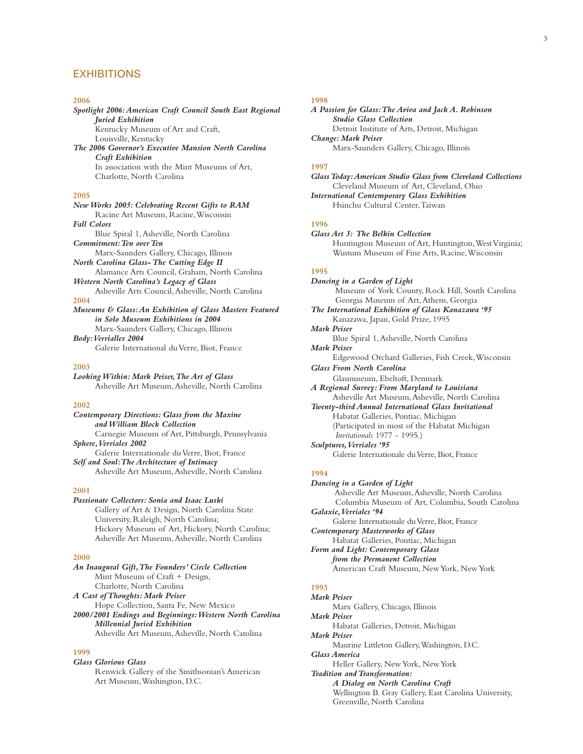## **EXHIBITIONS**

**2006** *Spotlight 2006:American Craft Council South East Regional Juried Exhibition* Kentucky Museum of Art and Craft, Louisville, Kentucky *The 2006 Governor's Executive Mansion North Carolina Craft Exhibition* In association with the Mint Museums of Art, Charlotte, North Carolina **2005** *New Works 2005: Celebrating Recent Gifts to RAM* Racine Art Museum, Racine,Wisconsin *Fall Colors* Blue Spiral 1,Asheville, North Carolina *Commitment:Ten over Ten* Marx-Saunders Gallery, Chicago, Illinois *North Carolina Glass- The Cutting Edge II* Alamance Arts Council, Graham, North Carolina *Western North Carolina's Legacy of Glass* Asheville Arts Council,Asheville, North Carolina **2004** *Museums & Glass:An Exhibition of Glass Masters Featured in Solo Museum Exhibitions in 2004* Marx-Saunders Gallery, Chicago, Illinois *Body:Verrialles 2004*

Galerie International du Verre, Biot, France

#### **2003**

*Looking Within: Mark Peiser,The Art of Glass* Asheville Art Museum,Asheville, North Carolina

#### **2002**

*Contemporary Directions: Glass from the Maxine and William Block Collection* Carnegie Museum of Art, Pittsburgh, Pennsylvania *Sphere,Verriales 2002* Galerie Internationale du Verre, Biot, France *Self and Soul:The Architecture of Intimacy* Asheville Art Museum,Asheville, North Carolina

#### **2001**

*Passionate Collectors: Sonia and Isaac Luski* Gallery of Art & Design, North Carolina State University, Raleigh, North Carolina; Hickory Museum of Art, Hickory, North Carolina; Asheville Art Museum,Asheville, North Carolina

#### **2000**

*An Inaugural Gift,The Founders' Circle Collection* Mint Museum of Craft + Design, Charlotte, North Carolina *A Cast of Thoughts: Mark Peiser* Hope Collection, Santa Fe, New Mexico *2000/2001 Endings and Beginnings:Western North Carolina Millennial Juried Exhibition* Asheville Art Museum,Asheville, North Carolina

## **1999**

*Glass Glorious Glass* Renwick Gallery of the Smithsonian's American Art Museum,Washington, D.C.

#### **1998**

| A Passion for Glass: The Aviva and Jack A. Robinson |
|-----------------------------------------------------|
| <b>Studio Glass Collection</b>                      |
| Detroit Institute of Arts, Detroit, Michigan        |
| <b>Change: Mark Peiser</b>                          |
| Marx-Saunders Gallery, Chicago, Illinois            |
|                                                     |

### **1997**

*Glass Today:American Studio Glass from Cleveland Collections* Cleveland Museum of Art, Cleveland, Ohio *International Contemporary Glass Exhibition*  Hsinchu Cultural Center,Taiwan

### **1996**

*Glass Art 3: The Belkin Collection* Huntington Museum of Art, Huntington,West Virginia; Wustum Museum of Fine Arts, Racine,Wisconsin

## **1995**

*Dancing in a Garden of Light* Museum of York County, Rock Hill, South Carolina Georgia Museum of Art,Athens, Georgia *The International Exhibition of Glass Kanazawa '95* Kanazawa, Japan, Gold Prize, 1995 *Mark Peiser* Blue Spiral 1,Asheville, North Carolina *Mark Peiser* Edgewood Orchard Galleries, Fish Creek,Wisconsin *Glass From North Carolina* Glasmuseum, Ebeltoft, Denmark *A Regional Survey: From Maryland to Louisiana* Asheville Art Museum,Asheville, North Carolina *Twenty-third Annual International Glass Invitational* Habatat Galleries, Pontiac, Michigan (Participated in most of the Habatat Michigan *Invitationals* 1977 - 1995.) *Sculptures,Verriales '95* Galerie Internationale du Verre, Biot, France **1994** *Dancing in a Garden of Light*

Asheville Art Museum,Asheville, North Carolina Columbia Museum of Art, Columbia, South Carolina *Galaxie,Verriales '94* Galerie Internationale du Verre, Biot, France *Contemporary Masterworks of Glass* Habatat Galleries, Pontiac, Michigan *Form and Light: Contemporary Glass from the Permanent Collection* American Craft Museum, New York, New York **1993**

*Mark Peiser* Marx Gallery, Chicago, Illinois *Mark Peiser* Habatat Galleries, Detroit, Michigan *Mark Peiser* Maurine Littleton Gallery,Washington, D.C. *Glass America* Heller Gallery, New York, New York *Tradition and Transformation: A Dialog on North Carolina Craft* Wellington B. Gray Gallery, East Carolina University, Greenville, North Carolina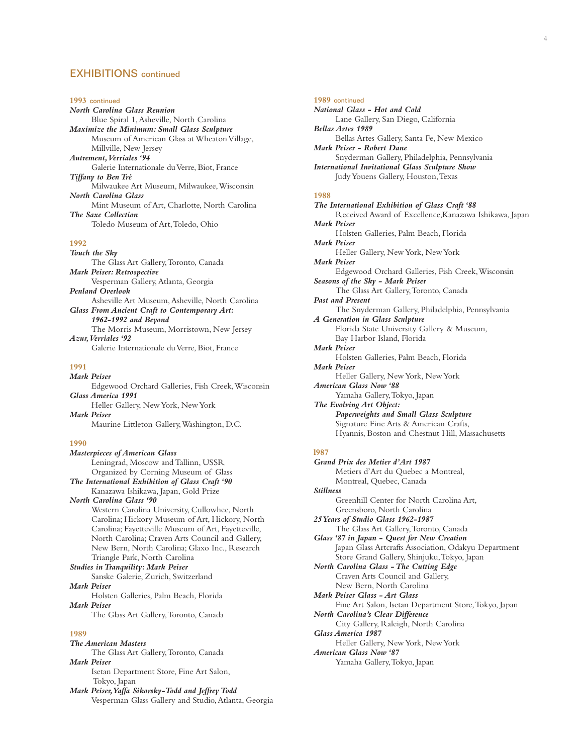## EXHIBITIONS continued

#### **1993** continued

*North Carolina Glass Reunion* Blue Spiral 1,Asheville, North Carolina *Maximize the Minimum: Small Glass Sculpture* Museum of American Glass at Wheaton Village, Millville, New Jersey *Autrement,Verriales '94* Galerie Internationale du Verre, Biot, France *Tiffany to Ben Tré* Milwaukee Art Museum, Milwaukee,Wisconsin *North Carolina Glass* Mint Museum of Art, Charlotte, North Carolina *The Saxe Collection* Toledo Museum of Art,Toledo, Ohio

#### **1992**

*Touch the Sky* The Glass Art Gallery,Toronto, Canada *Mark Peiser: Retrospective* Vesperman Gallery,Atlanta, Georgia *Penland Overlook* Asheville Art Museum,Asheville, North Carolina *Glass From Ancient Craft to Contemporary Art: 1962-1992 and Beyond* The Morris Museum, Morristown, New Jersey *Azur,Verriales '92* Galerie Internationale du Verre, Biot, France

## **1991**

*Mark Peiser* Edgewood Orchard Galleries, Fish Creek,Wisconsin *Glass America 1991* Heller Gallery, New York, New York *Mark Peiser* Maurine Littleton Gallery,Washington, D.C. **1990**

*Masterpieces of American Glass* Leningrad, Moscow and Tallinn, USSR Organized by Corning Museum of Glass *The International Exhibition of Glass Craft '90* Kanazawa Ishikawa, Japan, Gold Prize *North Carolina Glass '90* Western Carolina University, Cullowhee, North Carolina; Hickory Museum of Art, Hickory, North Carolina; Fayetteville Museum of Art, Fayetteville, North Carolina; Craven Arts Council and Gallery, New Bern, North Carolina; Glaxo Inc., Research Triangle Park, North Carolina *Studies in Tranquility: Mark Peiser* Sanske Galerie, Zurich, Switzerland *Mark Peiser* Holsten Galleries, Palm Beach, Florida *Mark Peiser*

The Glass Art Gallery,Toronto, Canada

#### **1989**

*The American Masters*

The Glass Art Gallery,Toronto, Canada *Mark Peiser*

Isetan Department Store, Fine Art Salon, Tokyo, Japan

*Mark Peiser,Yaffa Sikorsky-Todd and Jeffrey Todd* Vesperman Glass Gallery and Studio,Atlanta, Georgia

#### **1989** continued

*National Glass - Hot and Cold* Lane Gallery, San Diego, California *Bellas Artes 1989* Bellas Artes Gallery, Santa Fe, New Mexico *Mark Peiser - Robert Dane* Snyderman Gallery, Philadelphia, Pennsylvania *International Invitational Glass Sculpture Show* Judy Youens Gallery, Houston,Texas

### **1988**

*The International Exhibition of Glass Craft '88* Received Award of Excellence,Kanazawa Ishikawa, Japan *Mark Peiser* Holsten Galleries, Palm Beach, Florida *Mark Peiser* Heller Gallery, New York, New York *Mark Peiser* Edgewood Orchard Galleries, Fish Creek,Wisconsin *Seasons of the Sky - Mark Peiser* The Glass Art Gallery,Toronto, Canada *Past and Present* The Snyderman Gallery, Philadelphia, Pennsylvania *A Generation in Glass Sculpture* Florida State University Gallery & Museum, Bay Harbor Island, Florida *Mark Peiser* Holsten Galleries, Palm Beach, Florida *Mark Peiser* Heller Gallery, New York, New York *American Glass Now '88* Yamaha Gallery,Tokyo, Japan *The Evolving Art Object: Paperweights and Small Glass Sculpture* Signature Fine Arts & American Crafts, Hyannis, Boston and Chestnut Hill, Massachusetts **l987**  *Grand Prix des Metier d'Art 1987* Metiers d'Art du Quebec a Montreal, Montreal, Quebec, Canada *Stillness* Greenhill Center for North Carolina Art, Greensboro, North Carolina *25 Years of Studio Glass 1962-1987* The Glass Art Gallery,Toronto, Canada *Glass '87 in Japan - Quest for New Creation*

Japan Glass Artcrafts Association, Odakyu Department Store Grand Gallery, Shinjuku,Tokyo, Japan

*North Carolina Glass - The Cutting Edge* Craven Arts Council and Gallery, New Bern, North Carolina *Mark Peiser Glass - Art Glass*

Fine Art Salon, Isetan Department Store,Tokyo, Japan *North Carolina's Clear Difference*

City Gallery, Raleigh, North Carolina

*Glass America 1987*

Heller Gallery, New York, New York *American Glass Now '87*

Yamaha Gallery,Tokyo, Japan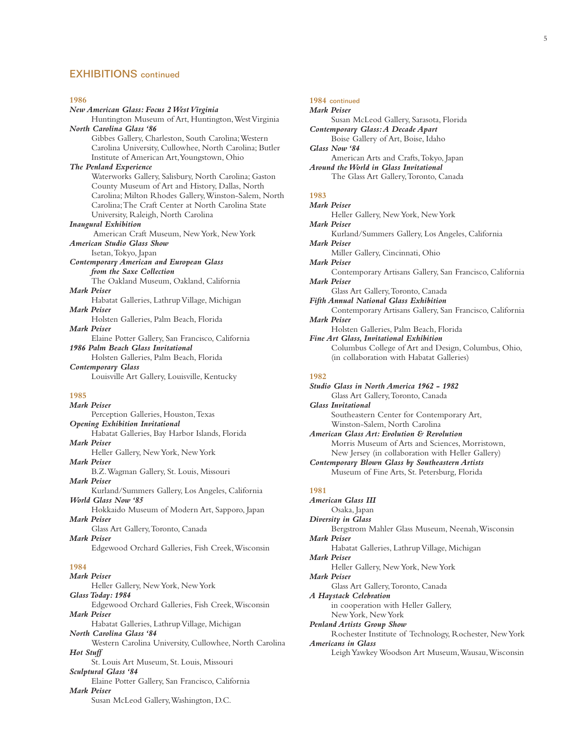## EXHIBITIONS continued

#### **1986**

*New American Glass: Focus 2 West Virginia* Huntington Museum of Art, Huntington,West Virginia *North Carolina Glass '86* Gibbes Gallery, Charleston, South Carolina;Western Carolina University, Cullowhee, North Carolina; Butler Institute of American Art,Youngstown, Ohio *The Penland Experience* Waterworks Gallery, Salisbury, North Carolina; Gaston County Museum of Art and History, Dallas, North Carolina; Milton Rhodes Gallery,Winston-Salem, North Carolina;The Craft Center at North Carolina State University, Raleigh, North Carolina *Inaugural Exhibition* American Craft Museum, New York, New York *American Studio Glass Show* Isetan,Tokyo, Japan *Contemporary American and European Glass from the Saxe Collection* The Oakland Museum, Oakland, California *Mark Peiser* Habatat Galleries, Lathrup Village, Michigan *Mark Peiser* Holsten Galleries, Palm Beach, Florida *Mark Peiser* Elaine Potter Gallery, San Francisco, California *1986 Palm Beach Glass Invitational* Holsten Galleries, Palm Beach, Florida *Contemporary Glass* Louisville Art Gallery, Louisville, Kentucky **1985** *Mark Peiser* Perception Galleries, Houston,Texas *Opening Exhibition Invitational* Habatat Galleries, Bay Harbor Islands, Florida *Mark Peiser* Heller Gallery, New York, New York *Mark Peiser* B.Z.Wagman Gallery, St. Louis, Missouri *Mark Peiser* Kurland/Summers Gallery, Los Angeles, California *World Glass Now '85* Hokkaido Museum of Modern Art, Sapporo, Japan *Mark Peiser* Glass Art Gallery,Toronto, Canada *Mark Peiser* Edgewood Orchard Galleries, Fish Creek,Wisconsin

#### **1984**

*Mark Peiser* Heller Gallery, New York, New York *Glass Today: 1984* Edgewood Orchard Galleries, Fish Creek,Wisconsin *Mark Peiser* Habatat Galleries, Lathrup Village, Michigan *North Carolina Glass '84* Western Carolina University, Cullowhee, North Carolina *Hot Stuff* St. Louis Art Museum, St. Louis, Missouri *Sculptural Glass '84* Elaine Potter Gallery, San Francisco, California *Mark Peiser*

Susan McLeod Gallery,Washington, D.C.

#### **1984** continued

## *Mark Peiser*

Susan McLeod Gallery, Sarasota, Florida *Contemporary Glass:A Decade Apart* Boise Gallery of Art, Boise, Idaho *Glass Now '84* American Arts and Crafts,Tokyo, Japan *Around the World in Glass Invitational* The Glass Art Gallery,Toronto, Canada

## **1983**

*Mark Peiser* Heller Gallery, New York, New York *Mark Peiser* Kurland/Summers Gallery, Los Angeles, California *Mark Peiser* Miller Gallery, Cincinnati, Ohio *Mark Peiser* Contemporary Artisans Gallery, San Francisco, California *Mark Peiser* Glass Art Gallery,Toronto, Canada *Fifth Annual National Glass Exhibition* Contemporary Artisans Gallery, San Francisco, California *Mark Peiser* Holsten Galleries, Palm Beach, Florida *Fine Art Glass, Invitational Exhibition* Columbus College of Art and Design, Columbus, Ohio, (in collaboration with Habatat Galleries)

#### **1982**

*Studio Glass in North America 1962 - 1982* Glass Art Gallery,Toronto, Canada *Glass Invitational* Southeastern Center for Contemporary Art, Winston-Salem, North Carolina *American Glass Art: Evolution & Revolution* Morris Museum of Arts and Sciences, Morristown, New Jersey (in collaboration with Heller Gallery) *Contemporary Blown Glass by Southeastern Artists* Museum of Fine Arts, St. Petersburg, Florida **1981** *American Glass III* Osaka, Japan *Diversity in Glass*

Bergstrom Mahler Glass Museum, Neenah,Wisconsin *Mark Peiser*

Habatat Galleries, Lathrup Village, Michigan *Mark Peiser*

Heller Gallery, New York, New York *Mark Peiser*

Glass Art Gallery,Toronto, Canada

*A Haystack Celebration*

in cooperation with Heller Gallery, New York, New York

*Penland Artists Group Show*

Rochester Institute of Technology, Rochester, New York *Americans in Glass*

Leigh Yawkey Woodson Art Museum,Wausau,Wisconsin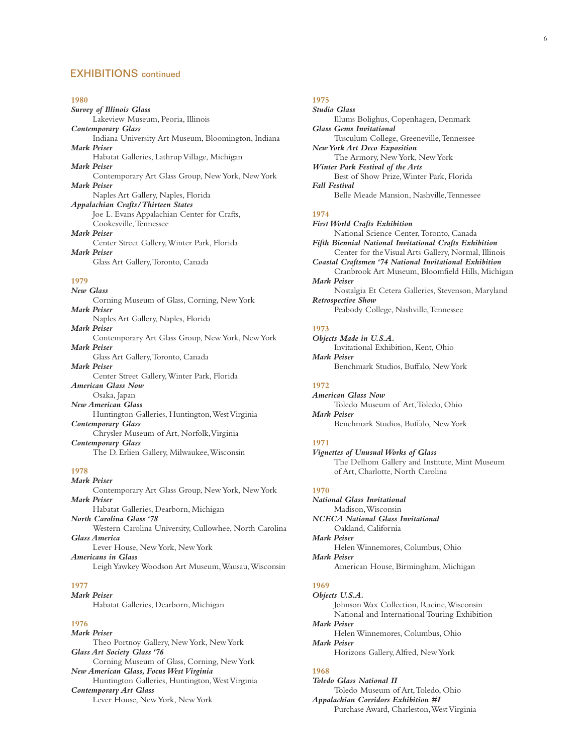## EXHIBITIONS continued

#### **1980**

*Survey of Illinois Glass* Lakeview Museum, Peoria, Illinois *Contemporary Glass* Indiana University Art Museum, Bloomington, Indiana *Mark Peiser* Habatat Galleries, Lathrup Village, Michigan *Mark Peiser* Contemporary Art Glass Group, New York, New York *Mark Peiser* Naples Art Gallery, Naples, Florida *Appalachian Crafts/Thirteen States* Joe L. Evans Appalachian Center for Crafts, Cookesville,Tennessee *Mark Peiser* Center Street Gallery,Winter Park, Florida *Mark Peiser*

Glass Art Gallery,Toronto, Canada

#### **1979**

*New Glass* Corning Museum of Glass, Corning, New York *Mark Peiser* Naples Art Gallery, Naples, Florida *Mark Peiser* Contemporary Art Glass Group, New York, New York *Mark Peiser* Glass Art Gallery,Toronto, Canada *Mark Peiser* Center Street Gallery,Winter Park, Florida *American Glass Now* Osaka, Japan *New American Glass* Huntington Galleries, Huntington,West Virginia *Contemporary Glass* Chrysler Museum of Art, Norfolk,Virginia *Contemporary Glass* The D. Erlien Gallery, Milwaukee,Wisconsin

## **1978**

*Mark Peiser* Contemporary Art Glass Group, New York, New York *Mark Peiser* Habatat Galleries, Dearborn, Michigan *North Carolina Glass '78* Western Carolina University, Cullowhee, North Carolina *Glass America* Lever House, New York, New York *Americans in Glass* Leigh Yawkey Woodson Art Museum,Wausau,Wisconsin

#### **1977**

*Mark Peiser*

Habatat Galleries, Dearborn, Michigan

## **1976**

*Mark Peiser* Theo Portnoy Gallery, New York, New York *Glass Art Society Glass '76* Corning Museum of Glass, Corning, New York *New American Glass, Focus West Virginia* Huntington Galleries, Huntington,West Virginia *Contemporary Art Glass* Lever House, New York, New York

## **1975**

*Studio Glass* Illums Bolighus, Copenhagen, Denmark *Glass Gems Invitational* Tusculum College, Greeneville,Tennessee *New York Art Deco Exposition* The Armory, New York, New York *Winter Park Festival of the Arts* Best of Show Prize,Winter Park, Florida *Fall Festival* Belle Meade Mansion, Nashville,Tennessee

### **1974**

*First World Crafts Exhibition* National Science Center,Toronto, Canada *Fifth Biennial National Invitational Crafts Exhibition* Center for the Visual Arts Gallery, Normal, Illinois *Coastal Craftsmen '74 National Invitational Exhibition* Cranbrook Art Museum, Bloomfield Hills, Michigan *Mark Peiser* Nostalgia Et Cetera Galleries, Stevenson, Maryland *Retrospective Show* Peabody College, Nashville,Tennessee

#### **1973**

*Objects Made in U.S.A.* Invitational Exhibition, Kent, Ohio *Mark Peiser* Benchmark Studios, Buffalo, New York

## **1972**

*American Glass Now* Toledo Museum of Art,Toledo, Ohio *Mark Peiser* Benchmark Studios, Buffalo, New York

## **1971**

*Vignettes of Unusual Works of Glass* The Delhom Gallery and Institute, Mint Museum of Art, Charlotte, North Carolina

## **1970**

*National Glass Invitational* Madison,Wisconsin *NCECA National Glass Invitational* Oakland, California *Mark Peiser* Helen Winnemores, Columbus, Ohio *Mark Peiser* American House, Birmingham, Michigan **1969** *Objects U.S.A.*

Johnson Wax Collection, Racine,Wisconsin National and International Touring Exhibition *Mark Peiser* Helen Winnemores, Columbus, Ohio *Mark Peiser* Horizons Gallery,Alfred, New York

## **1968**

*Toledo Glass National II* Toledo Museum of Art,Toledo, Ohio *Appalachian Corridors Exhibition #I* Purchase Award, Charleston,West Virginia